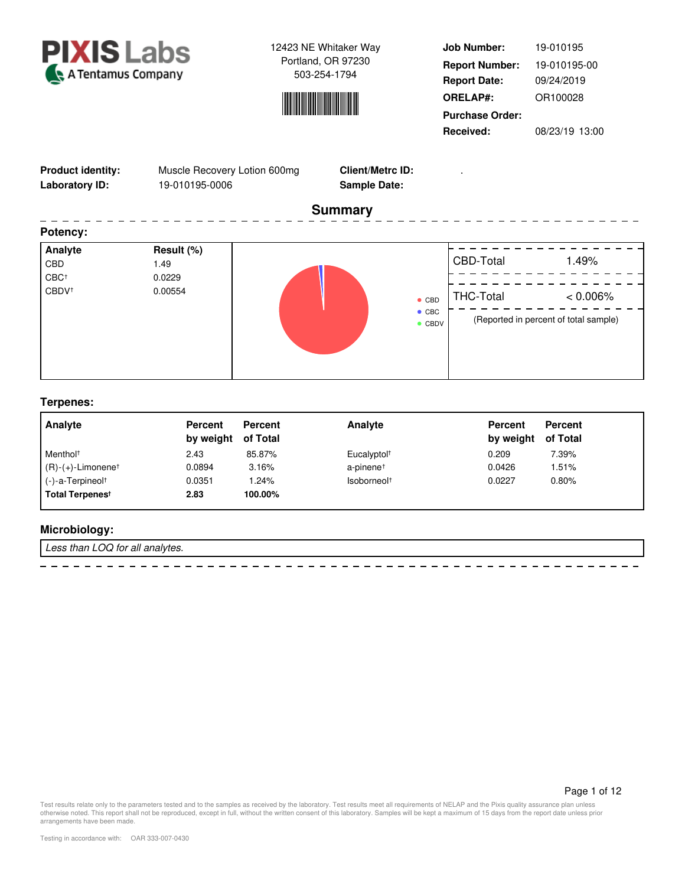



**Job Number: Report Date: ORELAP#:** 09/24/2019 OR100028 **Received:** 08/23/19 13:00 **Purchase Order:** 19-010195 **Report Number:** 19-010195-00

THC-Total < 0.006%

. <u>. .</u> . .

(Reported in percent of total sample)

| <b>Product identity:</b><br>Muscle Recovery Lotion 600mg<br>19-010195-0006<br>Laboratory ID: |            | <b>Client/Metrc ID:</b><br><b>Sample Date:</b> |                     |                |
|----------------------------------------------------------------------------------------------|------------|------------------------------------------------|---------------------|----------------|
|                                                                                              |            | <b>Summary</b>                                 |                     |                |
| Potency:                                                                                     |            |                                                |                     |                |
| Analyte                                                                                      | Result (%) |                                                |                     |                |
| CBD                                                                                          | 1.49       |                                                | CBD-Total           | 1.49%          |
| CBC <sup>+</sup>                                                                             | 0.0229     |                                                |                     |                |
| CBDV <sup>+</sup>                                                                            | 0.00554    |                                                | $T1$ $C1$ $T2$ $T3$ | $\sim$ 0.0000/ |

 $\bullet$  CBD  $\bullet$  CBC ● CBDV

| Analyte                          | <b>Percent</b>     | Percent | Analyte                 | <b>Percent</b> | Percent<br>of Total |  |
|----------------------------------|--------------------|---------|-------------------------|----------------|---------------------|--|
|                                  | by weight of Total |         |                         | by weight      |                     |  |
| Menthol <sup>+</sup>             | 2.43               | 85.87%  | Eucalyptol <sup>+</sup> | 0.209          | 7.39%               |  |
| $(R)-(+)$ -Limonene <sup>†</sup> | 0.0894             | 3.16%   | a-pinene <sup>+</sup>   | 0.0426         | 1.51%               |  |
| $(-)$ -a-Terpineol <sup>+</sup>  | 0.0351             | 1.24%   | Isoborneol <sup>+</sup> | 0.0227         | 0.80%               |  |
| Total Terpenes <sup>t</sup>      | 2.83               | 100.00% |                         |                |                     |  |

# **Microbiology:**

Less than LOQ for all analytes.

 $\equiv$ 

Page 1 of 12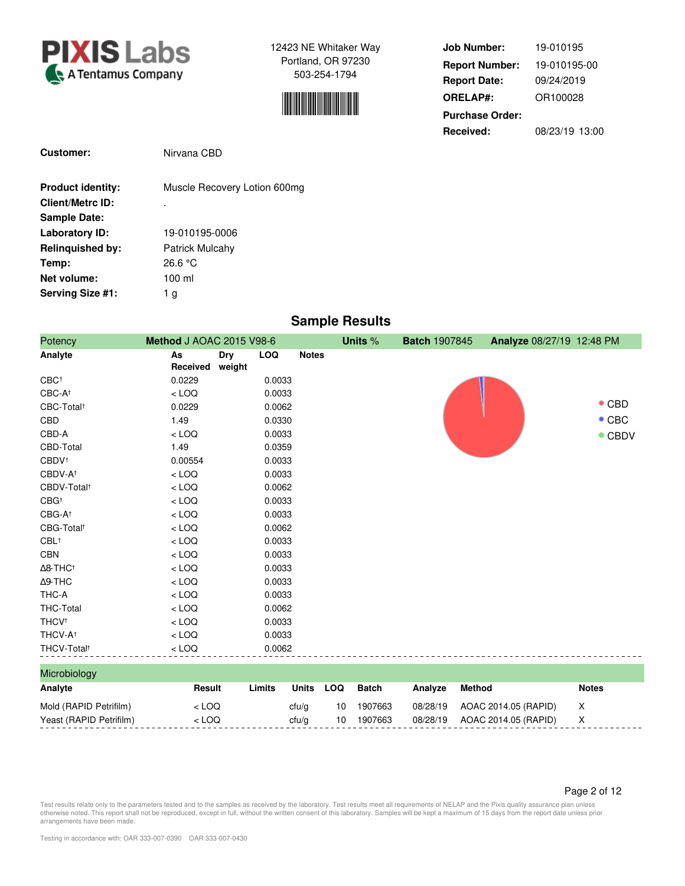



| <b>Job Number:</b>     | 19-010195      |
|------------------------|----------------|
| <b>Report Number:</b>  | 19-010195-00   |
| <b>Report Date:</b>    | 09/24/2019     |
| <b>ORELAP#:</b>        | OR100028       |
| <b>Purchase Order:</b> |                |
| Received:              | 08/23/19 13:00 |

| <b>Customer:</b>         | Nirvana CBD                  |
|--------------------------|------------------------------|
| <b>Product identity:</b> | Muscle Recovery Lotion 600mg |
| <b>Client/Metrc ID:</b>  |                              |
| <b>Sample Date:</b>      |                              |
| Laboratory ID:           | 19-010195-0006               |
| <b>Relinguished by:</b>  | Patrick Mulcahy              |
| Temp:                    | 26.6 °C                      |
| Net volume:              | $100$ ml                     |
| Serving Size #1:         | 1 g                          |

# **Sample Results**

| Potency                     | Method J AOAC 2015 V98-6 |                      |            |              |            | Units %      | <b>Batch 1907845</b> | Analyze 08/27/19 12:48 PM |                |
|-----------------------------|--------------------------|----------------------|------------|--------------|------------|--------------|----------------------|---------------------------|----------------|
| Analyte                     | As<br>Received           | <b>Dry</b><br>weight | <b>LOQ</b> | <b>Notes</b> |            |              |                      |                           |                |
| CBC <sup>+</sup>            | 0.0229                   |                      | 0.0033     |              |            |              |                      |                           |                |
| CBC-A <sup>+</sup>          | $<$ LOQ                  |                      | 0.0033     |              |            |              |                      |                           |                |
| CBC-Total <sup>+</sup>      | 0.0229                   |                      | 0.0062     |              |            |              |                      |                           | $\bullet$ CBD  |
| CBD                         | 1.49                     |                      | 0.0330     |              |            |              |                      |                           | $\bullet$ CBC  |
| CBD-A                       | $<$ LOQ                  |                      | 0.0033     |              |            |              |                      |                           | $\bullet$ CBDV |
| CBD-Total                   | 1.49                     |                      | 0.0359     |              |            |              |                      |                           |                |
| CBDV <sup>+</sup>           | 0.00554                  |                      | 0.0033     |              |            |              |                      |                           |                |
| CBDV-A <sup>+</sup>         | $<$ LOQ                  |                      | 0.0033     |              |            |              |                      |                           |                |
| CBDV-Total <sup>+</sup>     | $<$ LOQ                  |                      | 0.0062     |              |            |              |                      |                           |                |
| $CBG^+$                     | $<$ LOQ                  |                      | 0.0033     |              |            |              |                      |                           |                |
| CBG-A <sup>+</sup>          | $<$ LOQ                  |                      | 0.0033     |              |            |              |                      |                           |                |
| CBG-Total <sup>+</sup>      | $<$ LOQ                  |                      | 0.0062     |              |            |              |                      |                           |                |
| CBL <sup>†</sup>            | $<$ LOQ                  |                      | 0.0033     |              |            |              |                      |                           |                |
| <b>CBN</b>                  | $<$ LOQ                  |                      | 0.0033     |              |            |              |                      |                           |                |
| $\Delta$ 8-THC <sup>+</sup> | $<$ LOQ                  |                      | 0.0033     |              |            |              |                      |                           |                |
| $\Delta$ 9-THC              | $<$ LOQ                  |                      | 0.0033     |              |            |              |                      |                           |                |
| THC-A                       | $<$ LOQ                  |                      | 0.0033     |              |            |              |                      |                           |                |
| <b>THC-Total</b>            | $<$ LOQ                  |                      | 0.0062     |              |            |              |                      |                           |                |
| <b>THCV<sup>+</sup></b>     | $<$ LOQ                  |                      | 0.0033     |              |            |              |                      |                           |                |
| THCV-A <sup>+</sup>         | $<$ LOQ                  |                      | 0.0033     |              |            |              |                      |                           |                |
| THCV-Total <sup>+</sup>     | $<$ LOQ                  |                      | 0.0062     |              |            |              |                      |                           |                |
| Microbiology                |                          |                      |            |              |            |              |                      |                           |                |
| Analyte                     | Result                   |                      | Limits     | <b>Units</b> | <b>LOQ</b> | <b>Batch</b> | Analyze              | Method                    | <b>Notes</b>   |
| Mold (RAPID Petrifilm)      | $<$ LOQ                  |                      |            | ctu/g        | 10         | 1907663      | 08/28/19             | AOAC 2014.05 (RAPID)      | X              |
| Yeast (RAPID Petrifilm)     | $<$ LOQ                  |                      |            | ctu/g        | 10         | 1907663      | 08/28/19             | AOAC 2014.05 (RAPID)      | X              |

Page 2 of 12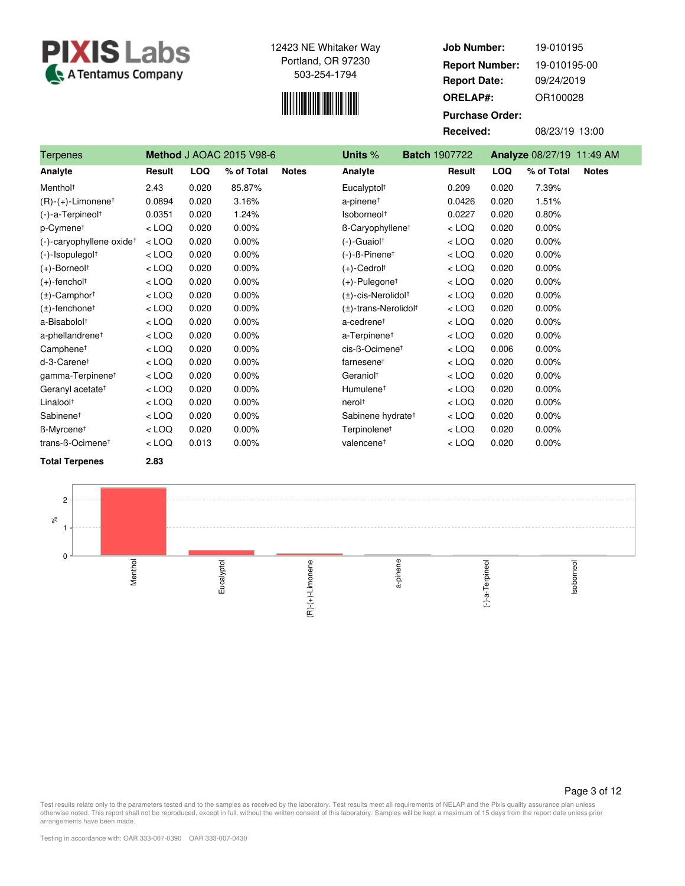



| <b>Job Number:</b>     | 19-010195      |
|------------------------|----------------|
| <b>Report Number:</b>  | 19-010195-00   |
| <b>Report Date:</b>    | 09/24/2019     |
| <b>ORELAP#:</b>        | OR100028       |
| <b>Purchase Order:</b> |                |
| Received:              | 08/23/19 13:00 |

| <b>Terpenes</b>                      |         |            | <b>Method J AOAC 2015 V98-6</b> |              | Units %                               | <b>Batch 1907722</b> |            | Analyze 08/27/19 11:49 AM  |  |
|--------------------------------------|---------|------------|---------------------------------|--------------|---------------------------------------|----------------------|------------|----------------------------|--|
| Analyte                              | Result  | <b>LOQ</b> | % of Total                      | <b>Notes</b> | Analyte                               | Result               | <b>LOQ</b> | % of Total<br><b>Notes</b> |  |
| Menthol <sup>+</sup>                 | 2.43    | 0.020      | 85.87%                          |              | Eucalyptol <sup>+</sup>               | 0.209                | 0.020      | 7.39%                      |  |
| $(R)-(+)$ -Limonene <sup>†</sup>     | 0.0894  | 0.020      | 3.16%                           |              | a-pinene <sup>+</sup>                 | 0.0426               | 0.020      | 1.51%                      |  |
| (-)-a-Terpineol <sup>+</sup>         | 0.0351  | 0.020      | 1.24%                           |              | Isoborneol <sup>+</sup>               | 0.0227               | 0.020      | 0.80%                      |  |
| p-Cymene <sup>t</sup>                | $<$ LOQ | 0.020      | 0.00%                           |              | B-Caryophyllene <sup>+</sup>          | $<$ LOQ              | 0.020      | 0.00%                      |  |
| (-)-caryophyllene oxide <sup>+</sup> | $<$ LOQ | 0.020      | 0.00%                           |              | $(-)$ -Guaiol <sup>+</sup>            | $<$ LOQ              | 0.020      | 0.00%                      |  |
| $(-)$ -Isopulegol $†$                | $<$ LOQ | 0.020      | 0.00%                           |              | $(-)$ - $\beta$ -Pinene <sup>†</sup>  | $<$ LOQ              | 0.020      | 0.00%                      |  |
| $(+)$ -Borneol <sup>+</sup>          | $<$ LOQ | 0.020      | 0.00%                           |              | $(+)$ -Cedrolt                        | $<$ LOQ              | 0.020      | 0.00%                      |  |
| $(+)$ -fenchol <sup>†</sup>          | $<$ LOQ | 0.020      | 0.00%                           |              | $(+)$ -Pulegone <sup>+</sup>          | $<$ LOQ              | 0.020      | 0.00%                      |  |
| $(\pm)$ -Camphor <sup>†</sup>        | $<$ LOQ | 0.020      | 0.00%                           |              | (±)-cis-Nerolidol <sup>+</sup>        | $<$ LOQ              | 0.020      | 0.00%                      |  |
| $(\pm)$ -fenchone <sup>†</sup>       | $<$ LOQ | 0.020      | 0.00%                           |              | $(\pm)$ -trans-Nerolidol <sup>†</sup> | $<$ LOQ              | 0.020      | 0.00%                      |  |
| a-Bisabolol <sup>+</sup>             | $<$ LOQ | 0.020      | 0.00%                           |              | a-cedrene <sup>t</sup>                | $<$ LOQ              | 0.020      | 0.00%                      |  |
| a-phellandrene <sup>+</sup>          | $<$ LOQ | 0.020      | 0.00%                           |              | a-Terpinene <sup>+</sup>              | $<$ LOQ              | 0.020      | 0.00%                      |  |
| Camphene <sup>t</sup>                | $<$ LOQ | 0.020      | 0.00%                           |              | cis-ß-Ocimenet                        | $<$ LOQ              | 0.006      | 0.00%                      |  |
| d-3-Carenet                          | $<$ LOQ | 0.020      | 0.00%                           |              | farnesenet                            | $<$ LOQ              | 0.020      | 0.00%                      |  |
| gamma-Terpinene <sup>t</sup>         | $<$ LOQ | 0.020      | 0.00%                           |              | Geraniol <sup>+</sup>                 | $<$ LOQ              | 0.020      | 0.00%                      |  |
| Geranyl acetate <sup>+</sup>         | $<$ LOQ | 0.020      | 0.00%                           |              | Humulene <sup>+</sup>                 | $<$ LOQ              | 0.020      | 0.00%                      |  |
| Linalool <sup>+</sup>                | $<$ LOQ | 0.020      | 0.00%                           |              | nerol <sup>+</sup>                    | $<$ LOQ              | 0.020      | 0.00%                      |  |
| Sabinene <sup>+</sup>                | $<$ LOQ | 0.020      | 0.00%                           |              | Sabinene hydrate <sup>t</sup>         | $<$ LOQ              | 0.020      | 0.00%                      |  |
| ß-Myrcene <sup>+</sup>               | $<$ LOQ | 0.020      | 0.00%                           |              | Terpinolene <sup>t</sup>              | $<$ LOQ              | 0.020      | 0.00%                      |  |
| trans-ß-Ocimene <sup>t</sup>         | $<$ LOQ | 0.013      | 0.00%                           |              | valencene <sup>t</sup>                | $<$ LOQ              | 0.020      | 0.00%                      |  |
| <b>Total Terpenes</b>                | 2.83    |            |                                 |              |                                       |                      |            |                            |  |



Page 3 of 12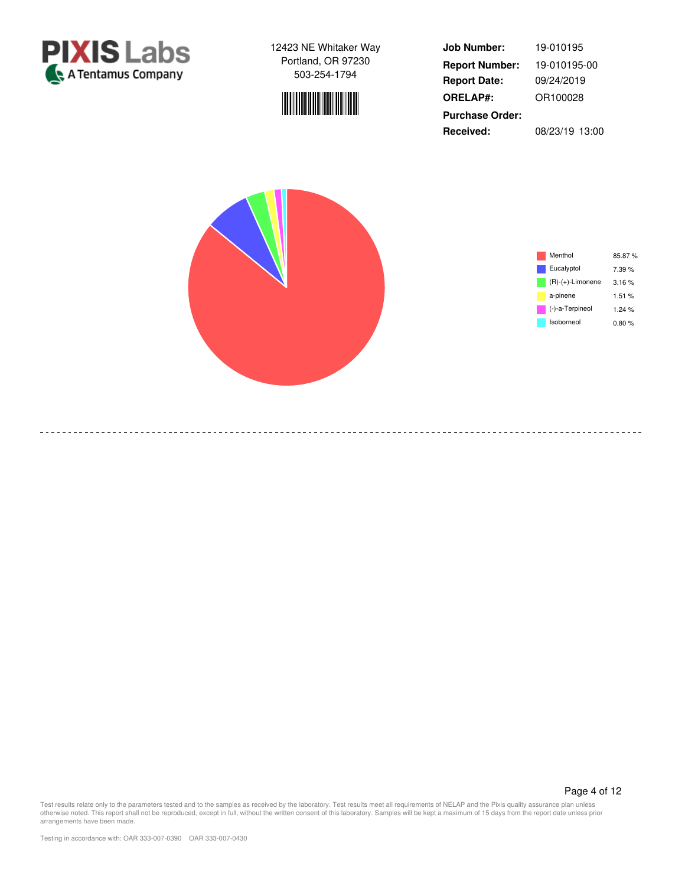

-----------------------

12423 NE Whitaker Way Portland, OR 97230 503-254-1794



**Job Number: Report Date: ORELAP#:** 09/24/2019 OR100028 **Received:** 08/23/19 13:00 **Purchase Order:** 19-010195 **Report Number:** 19-010195-00





Page 4 of 12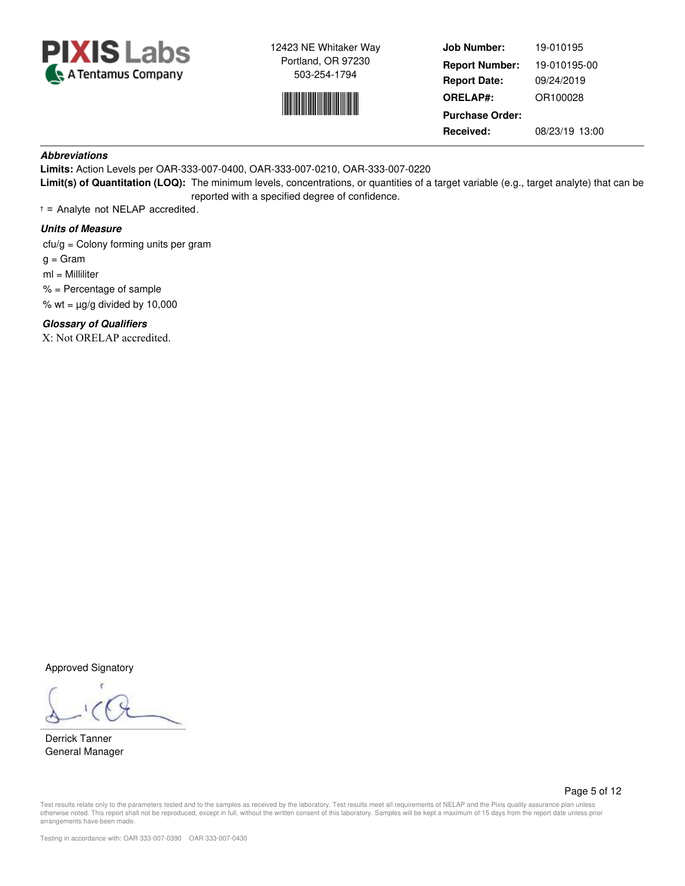



**Job Number: Report Date: ORELAP#:** 09/24/2019 OR100028 **Received:** 08/23/19 13:00 **Purchase Order:** 19-010195 **Report Number:** 19-010195-00

# **Abbreviations**

**Limits:** Action Levels per OAR-333-007-0400, OAR-333-007-0210, OAR-333-007-0220 **Limit(s) of Quantitation (LOQ):** The minimum levels, concentrations, or quantities of a target variable (e.g., target analyte) that can be reported with a specified degree of confidence.

† = Analyte not NELAP accredited.

# **Units of Measure**

cfu/g = Colony forming units per gram

 $g = \text{Gram}$ 

ml = Milliliter

% = Percentage of sample

% wt =  $\mu$ g/g divided by 10,000

**Glossary of Qualifiers**

X: Not ORELAP accredited.

Approved Signatory

Derrick Tanner General Manager

Page 5 of 12

Test results relate only to the parameters tested and to the samples as received by the laboratory. Test results meet all requirements of NELAP and the Pixis quality assurance plan unless otherwise noted. This report shall not be reproduced, except in full, without the written consent of this laboratory. Samples will be kept a maximum of 15 days from the report date unless prior arrangements have been made.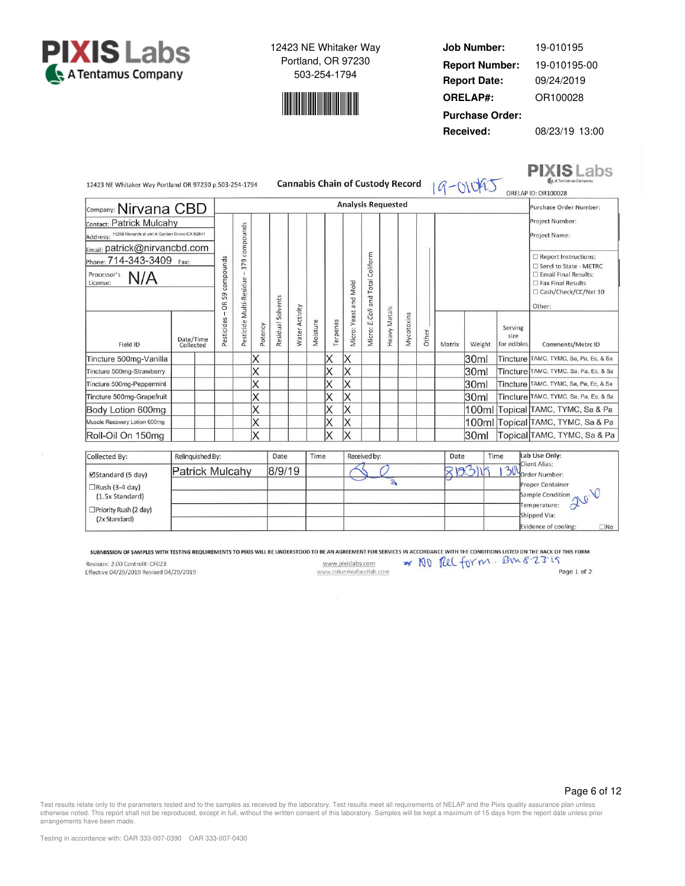



**Job Number: Report Date: ORELAP#:** 09/24/2019 OR100028 **Received:** 08/23/19 13:00 **Purchase Order:** 19-010195 **Report Number:** 19-010195-00

**PIXIS** Labs

|                             |                                                                                                                                           |                  |                                      |                                                                           |                   |                                         |          |                |                                     |              |                                     |       |                                         |                        |                                | A Tentamus Company<br>ORELAP ID: OR100028                                                                                          |
|-----------------------------|-------------------------------------------------------------------------------------------------------------------------------------------|------------------|--------------------------------------|---------------------------------------------------------------------------|-------------------|-----------------------------------------|----------|----------------|-------------------------------------|--------------|-------------------------------------|-------|-----------------------------------------|------------------------|--------------------------------|------------------------------------------------------------------------------------------------------------------------------------|
|                             |                                                                                                                                           |                  |                                      | <b>Analysis Requested</b>                                                 |                   |                                         |          |                |                                     |              |                                     |       |                                         | Purchase Order Number: |                                |                                                                                                                                    |
| Contact: Patrick Mulcahy    |                                                                                                                                           |                  |                                      |                                                                           |                   |                                         |          |                |                                     |              |                                     |       |                                         |                        |                                | Project Number:<br>Project Name:                                                                                                   |
| Phone: 714-343-3409<br>Fax: | compounds<br>59<br>6R                                                                                                                     | 379              |                                      |                                                                           |                   |                                         |          |                | Coliform<br><b>Total</b><br>bue<br> |              |                                     |       |                                         |                        |                                | Report Instructions:<br>□ Send to State - METRC<br>□ Email Final Results:<br>Fax Final Results<br>□ Cash/Check/CC/Net 30<br>Other: |
|                             | Pesticides                                                                                                                                |                  | Potency                              |                                                                           |                   | Moisture                                | Terpenes |                | Micro:                              |              | Mycotoxins                          | Other | Matrix                                  | Weight                 | Serving<br>size<br>for edibles | Comments/Metrc ID                                                                                                                  |
|                             |                                                                                                                                           |                  | ΙX                                   |                                                                           |                   |                                         | X        | ΙX             |                                     |              |                                     |       |                                         | 30ml                   |                                | Tincture TAMC, TYMC, Sa, Pa, Ec, & Sa                                                                                              |
|                             |                                                                                                                                           |                  | Χ                                    |                                                                           |                   |                                         | Х        | ΙX             |                                     |              |                                     |       |                                         | 30ml                   |                                | Tincture TAMC, TYMC, Sa, Pa, Ec, & Sa                                                                                              |
|                             |                                                                                                                                           |                  |                                      |                                                                           |                   |                                         | Χ        | ΙX             |                                     |              |                                     |       |                                         | 30ml                   |                                | Tincture TAMC, TYMC, Sa, Pa, Ec, & Sa                                                                                              |
|                             |                                                                                                                                           |                  | Χ                                    |                                                                           |                   |                                         | Χ        | Χ              |                                     |              |                                     |       |                                         | 30ml                   |                                | Tincture TAMC, TYMC, Sa, Pa, Ec, & Sa                                                                                              |
|                             |                                                                                                                                           |                  |                                      |                                                                           |                   |                                         |          | X              |                                     |              |                                     |       |                                         |                        |                                | 100ml Topical TAMC, TYMC, Sa & Pa                                                                                                  |
|                             |                                                                                                                                           |                  | Χ                                    |                                                                           |                   |                                         |          | Χ              |                                     |              |                                     |       |                                         |                        |                                | 100ml Topical TAMC, TYMC, Sa & Pa                                                                                                  |
|                             |                                                                                                                                           |                  | X                                    |                                                                           |                   |                                         | Χ        | ΙX             |                                     |              |                                     |       |                                         | 30ml                   |                                | Topical TAMC, TYMC, Sa & Pa                                                                                                        |
|                             |                                                                                                                                           |                  |                                      |                                                                           |                   |                                         |          |                |                                     |              |                                     |       |                                         |                        |                                | Lab Use Only:                                                                                                                      |
|                             |                                                                                                                                           |                  |                                      |                                                                           |                   |                                         |          |                |                                     | $\mathbf{a}$ |                                     |       |                                         |                        | 30                             | <b>Client Alias:</b><br>Order Number:<br><b>Proper Container</b><br>Sample Condition<br>Temperature:                               |
|                             | եշարթութ։ Nirvana CBD<br>Address: 11258 Monarch st unit A Garden Grove CA 92841<br>Email: patrick@nirvancbd.com<br>Date/Time<br>Collected | Relinquished By: | compounds<br>Pesticide Multi-Residue | 12423 NE Whitaker Way Portland OR 97230 p.503-254-1794<br>Patrick Mulcahy | Residual Solvents | <b>Water Activity</b><br>Date<br>8/9/19 |          | X<br>X<br>Time | Micro: Yeast and Mold               | E.Coli       | <b>Heavy Metals</b><br>Received by: |       | <b>Cannabis Chain of Custody Record</b> |                        | Date<br>813116                 | $9 - 01042$<br>Time                                                                                                                |

SUBMISSION OF SAMPLES WITH TESTING REQUIREMENTS TO PIXIS WILL BE UNDERSTOOD TO BE AN AGREEMENT FOR SERVICES IN ACCORDANCE WITH THE CONDITIONS LISTED ON THE BACK OF THIS FORM

Revision: 2.00 Control#: CF023 Effective 04/29/2019 Revised 04/29/2019

□Priority Rush (2 day)

(2x Standard)

www.pixislabs.com www.columbiafoodlab.com

Page 1 of 2

 $\square$ No

Shipped Via:

\* NO PUL form. BME-23:19

Evidence of cooling:

Page 6 of 12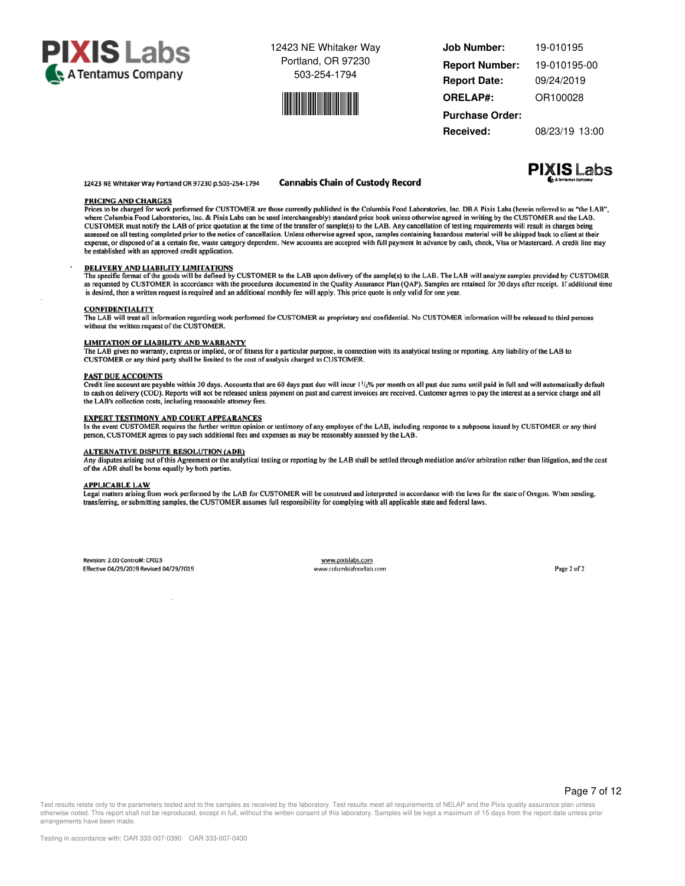



| <b>Job Number:</b>     | 19-010195      |  |  |  |  |  |
|------------------------|----------------|--|--|--|--|--|
| <b>Report Number:</b>  | 19-010195-00   |  |  |  |  |  |
| <b>Report Date:</b>    | 09/24/2019     |  |  |  |  |  |
| <b>ORELAP#:</b>        | OR100028       |  |  |  |  |  |
| <b>Purchase Order:</b> |                |  |  |  |  |  |
| Received:              | 08/23/19 13:00 |  |  |  |  |  |

**PIXIS Labs** 

12423 NE Whitaker Way Portland OR 97230 p.503-254-1794

#### **Cannabis Chain of Custody Record**

#### **PRICING AND CHARGES**

Prices to be charged for work performed for CUSTOMER are those currently published in the Columbia Food Laboratories, Inc. DBA Pixis Labs (herein referred to as "the LAB", where Columbia Food Laboratories, Inc. & Pixis Labs can be used interchangeably) standard price book unless otherwise agreed in writing by the CUSTOMER and the LAB. CUSTOMER and the LAB. CUSTOMER fand the LAB. CUSTOMER and such all testing completed prior to the notice of cancellation. Unless otherwise agreed upon, samples containing hazardous material will be shipped back to client at their exponse or disposed of at a certain fee, waste category dependent. New accounts are accepted with full payment in advance by cash, check, Visa or Mastercard. A credit line may expense or disposed of at a certain fee, waste be established with an approved credit application.

#### DELIVERY AND LIABILITY LIMITATIONS

The specific format of the goods will be defined by CUSTOMER to the LAB upon delivery of the sample(s) to the LAB. The LAB will analyze samples provided by CUSTOMER as requested by CUSTOMER as requested by CUSTOMER as requ

#### **CONFIDENTIALITY**

The LAB will treat all information regarding work performed for CUSTOMER as proprietary and confidential. No CUSTOMER information will be released to third persons without the written request of the CUSTOMER.

#### **LIMITATION OF LIABILITY AND WARRANTY**

The LAB gives no warranty, express or implied, or of fitness for a particular purpose, in connection with its analytical testing or reporting. Any liability of the LAB to CUSTOMER or any third party shall be limited to the cost of analysis charged to CUSTOMER.

#### **PAST DUE ACCOUNTS**

Credit line account are payable within 30 days. Accounts that are 60 days past due will incur 1<sup>1</sup>/<sub>2</sub>% per month on all past due sums until paid in full and will automatically default<br>to cash on delivery (COD). Reports wi the LAB's collection costs, including reasonable attorney fees.

#### **EXPERT TESTIMONY AND COURT APPEARANCES**

In the event CUSTOMER requires the further written opinion or testimony of any employee of the LAB, including response to a subpoena issued by CUSTOMER or any third person, CUSTOMER agrees to pay such additional fees and expenses as may be reasonably assessed by the LAB.

#### **ALTERNATIVE DISPUTE RESOLUTION (ADR)**

Any disputes arising out of this Agreement or the analytical testing or reporting by the LAB shall be settled through mediation and/or arbitration rather than litigation, and the cost of the ADR shall be borne equally by both parties.

#### **APPLICABLE LAW**

Legal matters arising from work performed by the LAB for CUSTOMER will be construed and interpreted in accordance with the laws for the state of Oregon. When sending, transferring, or submitting samples, the CUSTOMER assumes full responsibility for complying with all applicable state and federal laws.

Revision: 2.00 Control#: CF023 Effective 04/29/2019 Revised 04/29/2019

www.pixislabs.com www.columbiafoodlab.com

Page 2 of 2

Test results relate only to the parameters tested and to the samples as received by the laboratory. Test results meet all requirements of NELAP and the Pixis quality assurance plan unless otherwise noted. This report shall not be reproduced, except in full, without the written consent of this laboratory. Samples will be kept a maximum of 15 days from the report date unless prior arrangements have been made.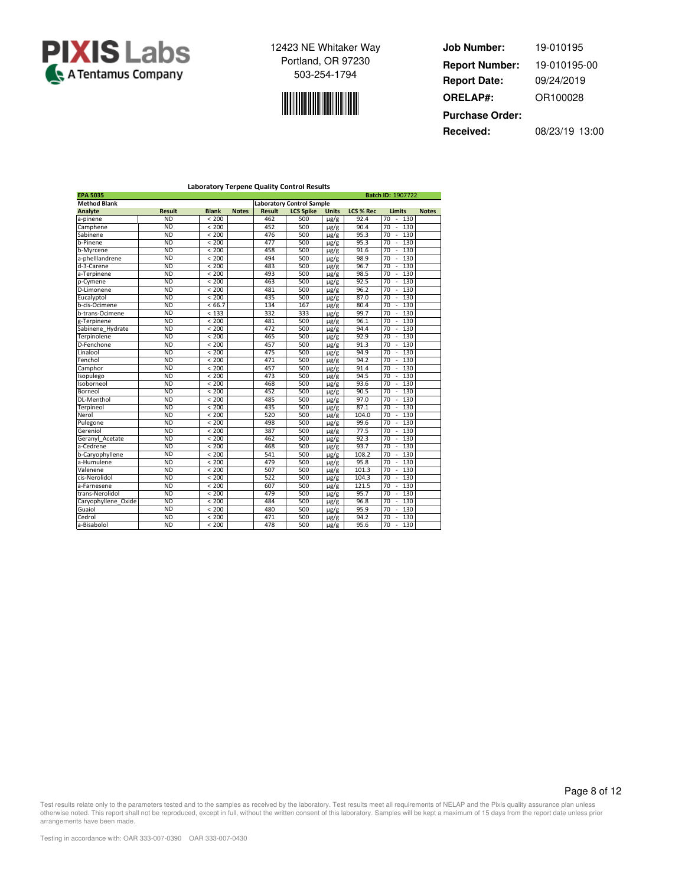



**Job Number: Report Date: ORELAP#:** 09/24/2019 OR100028 **Received:** 08/23/19 13:00 **Purchase Order:** 19-010195 **Report Number:** 19-010195-00

|                     |               |              |              |        | <b>Laboratory Terpene Quality Control Results</b> |              |                  |                                       |              |
|---------------------|---------------|--------------|--------------|--------|---------------------------------------------------|--------------|------------------|---------------------------------------|--------------|
| <b>EPA 5035</b>     |               |              |              |        |                                                   |              |                  | Batch ID: 1907722                     |              |
| <b>Method Blank</b> |               |              |              |        | <b>Laboratory Control Sample</b>                  |              |                  |                                       |              |
| Analyte             | <b>Result</b> | <b>Blank</b> | <b>Notes</b> | Result | <b>LCS Spike</b>                                  | <b>Units</b> | <b>LCS % Rec</b> | Limits                                | <b>Notes</b> |
| a-pinene            | <b>ND</b>     | < 200        |              | 462    | 500                                               | $\mu$ g/g    | 92.4             | 70<br>130<br>×,                       |              |
| Camphene            | <b>ND</b>     | < 200        |              | 452    | 500                                               | µg/g         | 90.4             | 70<br>130<br>$\overline{\phantom{a}}$ |              |
| Sabinene            | <b>ND</b>     | < 200        |              | 476    | 500                                               | $\mu$ g/g    | 95.3             | 70<br>130<br>×.                       |              |
| b-Pinene            | <b>ND</b>     | < 200        |              | 477    | 500                                               | $\mu$ g/g    | 95.3             | 70<br>130<br>$\overline{\phantom{a}}$ |              |
| b-Myrcene           | <b>ND</b>     | < 200        |              | 458    | 500                                               | $\mu$ g/g    | 91.6             | 130<br>70<br>÷,                       |              |
| a-phelllandrene     | <b>ND</b>     | < 200        |              | 494    | 500                                               | $\mu$ g/g    | 98.9             | 70<br>130<br>×.                       |              |
| d-3-Carene          | <b>ND</b>     | < 200        |              | 483    | 500                                               | $\mu$ g/g    | 96.7             | 70<br>130<br>$\sim$                   |              |
| a-Terpinene         | <b>ND</b>     | < 200        |              | 493    | 500                                               | $\mu$ g/g    | 98.5             | 70<br>130<br>×,                       |              |
| p-Cymene            | <b>ND</b>     | < 200        |              | 463    | 500                                               | $\mu$ g/g    | 92.5             | 70<br>130<br>×.                       |              |
| D-Limonene          | <b>ND</b>     | < 200        |              | 481    | 500                                               | $\mu$ g/g    | 96.2             | 70<br>130<br>×,                       |              |
| Eucalvptol          | <b>ND</b>     | < 200        |              | 435    | 500                                               | $\mu$ g/g    | 87.0             | 70<br>130<br>×,                       |              |
| b-cis-Ocimene       | <b>ND</b>     | < 66.7       |              | 134    | 167                                               | $\mu$ g/g    | 80.4             | 70<br>130<br>$\overline{\phantom{a}}$ |              |
| b-trans-Ocimene     | <b>ND</b>     | < 133        |              | 332    | 333                                               | $\mu$ g/g    | 99.7             | 70<br>130<br>$\sim$                   |              |
| g-Terpinene         | <b>ND</b>     | < 200        |              | 481    | 500                                               | $\mu$ g/g    | 96.1             | 70<br>130<br>$\overline{\phantom{a}}$ |              |
| Sabinene Hydrate    | <b>ND</b>     | < 200        |              | 472    | 500                                               | $\mu$ g/g    | 94.4             | 70<br>130<br>×,                       |              |
| Terpinolene         | <b>ND</b>     | < 200        |              | 465    | 500                                               | $\mu$ g/g    | 92.9             | 70<br>130<br>$\sim$                   |              |
| D-Fenchone          | <b>ND</b>     | < 200        |              | 457    | 500                                               | $\mu$ g/g    | 91.3             | 70<br>130<br>$\overline{\phantom{a}}$ |              |
| Linalool            | <b>ND</b>     | < 200        |              | 475    | 500                                               | $\mu$ g/g    | 94.9             | 70<br>130<br>×,                       |              |
| Fenchol             | <b>ND</b>     | < 200        |              | 471    | 500                                               | $\mu$ g/g    | 94.2             | 70<br>130<br>$\sim$                   |              |
| Camphor             | <b>ND</b>     | < 200        |              | 457    | 500                                               | $\mu$ g/g    | 91.4             | 70<br>130<br>$\sim$                   |              |
| Isopulego           | <b>ND</b>     | < 200        |              | 473    | 500                                               | $\mu$ g/g    | 94.5             | 70<br>130<br>$\sim$                   |              |
| Isoborneol          | <b>ND</b>     | < 200        |              | 468    | 500                                               | $\mu$ g/g    | 93.6             | 70<br>130<br>×,                       |              |
| Borneol             | <b>ND</b>     | < 200        |              | 452    | 500                                               | $\mu$ g/g    | 90.5             | 130<br>70<br>$\overline{\phantom{a}}$ |              |
| <b>DL-Menthol</b>   | <b>ND</b>     | < 200        |              | 485    | 500                                               | $\mu$ g/g    | 97.0             | 70<br>130<br>$\sim$                   |              |
| Terpineol           | <b>ND</b>     | < 200        |              | 435    | 500                                               | $\mu$ g/g    | 87.1             | 70<br>130<br>×,                       |              |
| Nerol               | <b>ND</b>     | < 200        |              | 520    | 500                                               | $\mu$ g/g    | 104.0            | 70<br>130<br>×.                       |              |
| Pulegone            | <b>ND</b>     | < 200        |              | 498    | 500                                               | $\mu$ g/g    | 99.6             | 70<br>130                             |              |
| Gereniol            | <b>ND</b>     | < 200        |              | 387    | 500                                               | $\mu$ g/g    | 77.5             | 70<br>130<br>$\overline{\phantom{a}}$ |              |
| Geranyl Acetate     | <b>ND</b>     | < 200        |              | 462    | 500                                               | $\mu$ g/g    | 92.3             | 70<br>130<br>$\overline{\phantom{a}}$ |              |
| a-Cedrene           | <b>ND</b>     | < 200        |              | 468    | 500                                               | $\mu$ g/g    | 93.7             | 130<br>70<br>$\sim$                   |              |
| b-Caryophyllene     | <b>ND</b>     | < 200        |              | 541    | 500                                               | $\mu$ g/g    | 108.2            | 70<br>130<br>×,                       |              |
| a-Humulene          | <b>ND</b>     | < 200        |              | 479    | 500                                               | $\mu$ g/g    | 95.8             | 70<br>130<br>×.                       |              |
| Valenene            | <b>ND</b>     | < 200        |              | 507    | 500                                               | $\mu$ g/g    | 101.3            | 70<br>130<br>÷,                       |              |
| cis-Nerolidol       | <b>ND</b>     | < 200        |              | 522    | 500                                               | $\mu$ g/g    | 104.3            | 70<br>130<br>$\sim$                   |              |
| a-Farnesene         | <b>ND</b>     | < 200        |              | 607    | 500                                               | $\mu$ g/g    | 121.5            | 70<br>130<br>×,                       |              |
| trans-Nerolidol     | <b>ND</b>     | < 200        |              | 479    | 500                                               | $\mu$ g/g    | 95.7             | 130<br>70<br>÷,                       |              |
| Caryophyllene_Oxide | <b>ND</b>     | < 200        |              | 484    | 500                                               | $\mu$ g/g    | 96.8             | 70<br>130<br>×,                       |              |
| Guaiol              | <b>ND</b>     | < 200        |              | 480    | 500                                               | $\mu$ g/g    | 95.9             | 70<br>130<br>$\overline{\phantom{a}}$ |              |
| Cedrol              | <b>ND</b>     | < 200        |              | 471    | 500                                               | $\mu$ g/g    | 94.2             | 70<br>130                             |              |
| a-Bisabolol         | <b>ND</b>     | < 200        |              | 478    | 500                                               | $\mu$ g/g    | 95.6             | 70<br>130<br>×,                       |              |

Page 8 of 12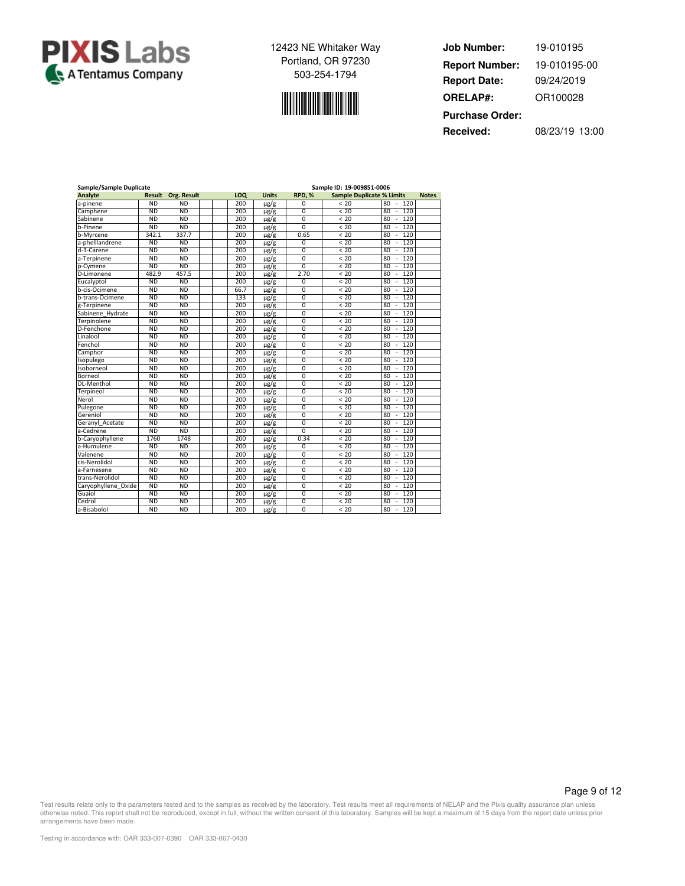



| Job Number:            | 19-010195      |
|------------------------|----------------|
| <b>Report Number:</b>  | 19-010195-00   |
| <b>Report Date:</b>    | 09/24/2019     |
| <b>ORELAP#:</b>        | OR100028       |
| <b>Purchase Order:</b> |                |
| Received:              | 08/23/19 13:00 |

| Sample/Sample Duplicate |           |             |      | Sample ID: 19-009851-0006 |                |                                  |                                       |              |  |  |  |  |
|-------------------------|-----------|-------------|------|---------------------------|----------------|----------------------------------|---------------------------------------|--------------|--|--|--|--|
| <b>Analyte</b>          | Result    | Org. Result | LOQ  | <b>Units</b>              | RPD.%          | <b>Sample Duplicate % Limits</b> |                                       | <b>Notes</b> |  |  |  |  |
| a-pinene                | <b>ND</b> | <b>ND</b>   | 200  | $\mu$ g/g                 | 0              | < 20                             | 80<br>120<br>$\overline{\phantom{a}}$ |              |  |  |  |  |
| Camphene                | <b>ND</b> | <b>ND</b>   | 200  | $\mu$ g/g                 | 0              | < 20                             | 80<br>120<br>×,                       |              |  |  |  |  |
| Sabinene                | <b>ND</b> | <b>ND</b>   | 200  | $\mu$ g/g                 | $\Omega$       | < 20                             | 120<br>80<br>٠                        |              |  |  |  |  |
| b-Pinene                | <b>ND</b> | <b>ND</b>   | 200  | $\mu$ g/g                 | $\Omega$       | < 20                             | 80<br>120<br>ä,                       |              |  |  |  |  |
| b-Myrcene               | 342.1     | 337.7       | 200  | $\mu$ g/g                 | 0.65           | < 20                             | 80<br>120                             |              |  |  |  |  |
| a-phelllandrene         | <b>ND</b> | <b>ND</b>   | 200  | $\mu$ g/g                 | 0              | < 20                             | 80<br>120<br>÷,                       |              |  |  |  |  |
| d-3-Carene              | <b>ND</b> | <b>ND</b>   | 200  | $\mu$ g/g                 | $\overline{0}$ | < 20                             | 120<br>80                             |              |  |  |  |  |
| a-Terpinene             | <b>ND</b> | <b>ND</b>   | 200  | $\mu$ g/g                 | $\overline{0}$ | < 20                             | 120<br>80<br>÷,                       |              |  |  |  |  |
| p-Cymene                | <b>ND</b> | <b>ND</b>   | 200  | $\mu$ g/g                 | 0              | < 20                             | 80<br>120                             |              |  |  |  |  |
| D-Limonene              | 482.9     | 457.5       | 200  | $\mu$ g/g                 | 2.70           | < 20                             | 80<br>120<br>÷,                       |              |  |  |  |  |
| Eucalyptol              | <b>ND</b> | <b>ND</b>   | 200  | $\mu$ g/g                 | 0              | < 20                             | 120<br>80<br>ä,                       |              |  |  |  |  |
| b-cis-Ocimene           | <b>ND</b> | <b>ND</b>   | 66.7 | $\mu$ g/g                 | $\overline{0}$ | < 20                             | 120<br>80                             |              |  |  |  |  |
| b-trans-Ocimene         | <b>ND</b> | <b>ND</b>   | 133  | $\mu$ g/g                 | 0              | < 20                             | 80<br>120<br>×,                       |              |  |  |  |  |
| g-Terpinene             | <b>ND</b> | <b>ND</b>   | 200  | $\mu$ g/g                 | $\Omega$       | < 20                             | 80<br>120<br>٠                        |              |  |  |  |  |
| Sabinene_Hydrate        | <b>ND</b> | <b>ND</b>   | 200  | $\mu$ g/g                 | $\overline{0}$ | < 20                             | 120<br>80<br>÷,                       |              |  |  |  |  |
| Terpinolene             | <b>ND</b> | <b>ND</b>   | 200  | $\mu$ g/g                 | $\mathbf 0$    | < 20                             | 120<br>80                             |              |  |  |  |  |
| D-Fenchone              | <b>ND</b> | <b>ND</b>   | 200  | $\mu$ g/g                 | $\overline{0}$ | < 20                             | 120<br>80<br>÷,                       |              |  |  |  |  |
| Linalool                | <b>ND</b> | <b>ND</b>   | 200  | $\mu$ g/g                 | 0              | < 20                             | 80<br>120                             |              |  |  |  |  |
| Fenchol                 | <b>ND</b> | <b>ND</b>   | 200  | $\mu$ g/g                 | 0              | < 20                             | 80<br>120<br>÷,                       |              |  |  |  |  |
| Camphor                 | <b>ND</b> | <b>ND</b>   | 200  | $\mu$ g/g                 | $\Omega$       | < 20                             | 120<br>80                             |              |  |  |  |  |
| Isopulego               | <b>ND</b> | <b>ND</b>   | 200  | $\mu$ g/g                 | 0              | < 20                             | 120<br>80                             |              |  |  |  |  |
| Isoborneol              | <b>ND</b> | <b>ND</b>   | 200  | $\mu$ g/g                 | 0              | < 20                             | 120<br>80<br>ä,                       |              |  |  |  |  |
| Borneol                 | <b>ND</b> | <b>ND</b>   | 200  | $\mu$ g/g                 | 0              | < 20                             | 80<br>120                             |              |  |  |  |  |
| DL-Menthol              | <b>ND</b> | <b>ND</b>   | 200  | $\mu$ g/g                 | $\overline{0}$ | < 20                             | 80<br>120<br>×                        |              |  |  |  |  |
| Terpineol               | <b>ND</b> | <b>ND</b>   | 200  | $\mu$ g/g                 | $\overline{0}$ | < 20                             | 120<br>80                             |              |  |  |  |  |
| Nerol                   | <b>ND</b> | <b>ND</b>   | 200  | $\mu$ g/g                 | $\mathbf 0$    | < 20                             | 80<br>120<br>÷,                       |              |  |  |  |  |
| Pulegone                | <b>ND</b> | <b>ND</b>   | 200  | $\mu$ g/g                 | $\Omega$       | < 20                             | 80<br>120                             |              |  |  |  |  |
| Gereniol                | <b>ND</b> | <b>ND</b>   | 200  | $\mu$ g/g                 | $\overline{0}$ | < 20                             | 120<br>80<br>÷,                       |              |  |  |  |  |
| Geranyl Acetate         | <b>ND</b> | <b>ND</b>   | 200  | $\mu$ g/g                 | 0              | < 20                             | 120<br>80                             |              |  |  |  |  |
| a-Cedrene               | <b>ND</b> | ND          | 200  | $\mu$ g/g                 | $\overline{0}$ | < 20                             | 120<br>80<br>ä,                       |              |  |  |  |  |
| b-Caryophyllene         | 1760      | 1748        | 200  | $\mu$ g/g                 | 0.34           | < 20                             | 80<br>120<br>×,                       |              |  |  |  |  |
| a-Humulene              | <b>ND</b> | <b>ND</b>   | 200  | $\mu$ g/g                 | 0              | < 20                             | 80<br>120<br>ä,                       |              |  |  |  |  |
| Valenene                | <b>ND</b> | <b>ND</b>   | 200  | $\mu$ g/g                 | 0              | < 20                             | 120<br>80<br>÷,                       |              |  |  |  |  |
| cis-Nerolidol           | <b>ND</b> | <b>ND</b>   | 200  | $\mu$ g/g                 | $\Omega$       | < 20                             | 80<br>120                             |              |  |  |  |  |
| a-Farnesene             | <b>ND</b> | <b>ND</b>   | 200  | $\mu$ g/g                 | $\overline{0}$ | < 20                             | 80<br>120<br>÷,                       |              |  |  |  |  |
| trans-Nerolidol         | <b>ND</b> | <b>ND</b>   | 200  | $\mu$ g/g                 | $\mathbf 0$    | < 20                             | 80<br>120                             |              |  |  |  |  |
| Caryophyllene Oxide     | <b>ND</b> | <b>ND</b>   | 200  | $\mu$ g/g                 | 0              | < 20                             | 80<br>120<br>÷,                       |              |  |  |  |  |
| Guaiol                  | <b>ND</b> | <b>ND</b>   | 200  | $\mu$ g/g                 | $\Omega$       | < 20                             | 120<br>80                             |              |  |  |  |  |
| Cedrol                  | <b>ND</b> | <b>ND</b>   | 200  | $\mu$ g/g                 | 0              | < 20                             | 120<br>80                             |              |  |  |  |  |
| a-Bisabolol             | <b>ND</b> | <b>ND</b>   | 200  | µg/g                      | $\overline{0}$ | < 20                             | 80<br>120                             |              |  |  |  |  |

Page 9 of 12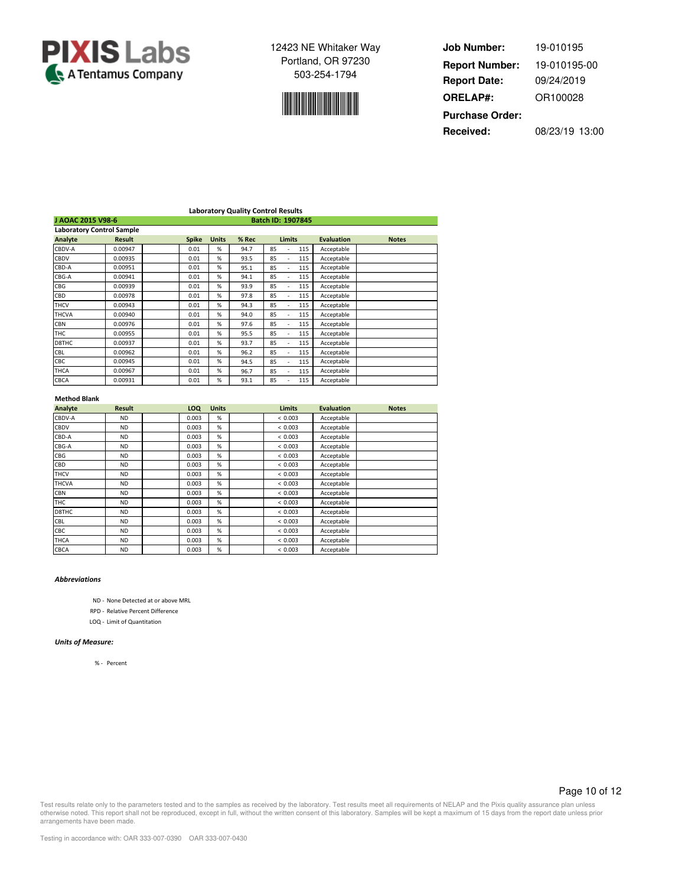



**Job Number: Report Date: ORELAP#:** 09/24/2019 OR100028 **Received:** 08/23/19 13:00 **Purchase Order:** 19-010195 **Report Number:** 19-010195-00

|                                  |               |  |                   |              | <b>Laboratory Quality Control Results</b> |    |               |     |                   |              |
|----------------------------------|---------------|--|-------------------|--------------|-------------------------------------------|----|---------------|-----|-------------------|--------------|
| J AOAC 2015 V98-6                |               |  | Batch ID: 1907845 |              |                                           |    |               |     |                   |              |
| <b>Laboratory Control Sample</b> |               |  |                   |              |                                           |    |               |     |                   |              |
| Analyte                          | <b>Result</b> |  | <b>Spike</b>      | <b>Units</b> | % Rec                                     |    | <b>Limits</b> |     | <b>Evaluation</b> | <b>Notes</b> |
| CBDV-A                           | 0.00947       |  | 0.01              | %            | 94.7                                      | 85 | ٠             | 115 | Acceptable        |              |
| CBDV                             | 0.00935       |  | 0.01              | %            | 93.5                                      | 85 |               | 115 | Acceptable        |              |
| CBD-A                            | 0.00951       |  | 0.01              | %            | 95.1                                      | 85 |               | 115 | Acceptable        |              |
| CBG-A                            | 0.00941       |  | 0.01              | %            | 94.1                                      | 85 |               | 115 | Acceptable        |              |
| CBG                              | 0.00939       |  | 0.01              | %            | 93.9                                      | 85 | ٠             | 115 | Acceptable        |              |
| CBD                              | 0.00978       |  | 0.01              | %            | 97.8                                      | 85 |               | 115 | Acceptable        |              |
| THCV                             | 0.00943       |  | 0.01              | %            | 94.3                                      | 85 |               | 115 | Acceptable        |              |
| THCVA                            | 0.00940       |  | 0.01              | %            | 94.0                                      | 85 | ٠             | 115 | Acceptable        |              |
| CBN                              | 0.00976       |  | 0.01              | %            | 97.6                                      | 85 | ٠             | 115 | Acceptable        |              |
| THC                              | 0.00955       |  | 0.01              | %            | 95.5                                      | 85 | ٠             | 115 | Acceptable        |              |
| D8THC                            | 0.00937       |  | 0.01              | %            | 93.7                                      | 85 |               | 115 | Acceptable        |              |
| CBL                              | 0.00962       |  | 0.01              | %            | 96.2                                      | 85 |               | 115 | Acceptable        |              |
| CBC                              | 0.00945       |  | 0.01              | %            | 94.5                                      | 85 | ٠             | 115 | Acceptable        |              |
| THCA                             | 0.00967       |  | 0.01              | %            | 96.7                                      | 85 |               | 115 | Acceptable        |              |
| CBCA                             | 0.00931       |  | 0.01              | %            | 93.1                                      | 85 |               | 115 | Acceptable        |              |

### **Method Blank**

| Analyte      | <b>Result</b> | <b>LOQ</b> | <b>Units</b> | <b>Limits</b> | <b>Evaluation</b> | <b>Notes</b> |
|--------------|---------------|------------|--------------|---------------|-------------------|--------------|
| CBDV-A       | <b>ND</b>     | 0.003      | %            | < 0.003       | Acceptable        |              |
| CBDV         | <b>ND</b>     | 0.003      | %            | < 0.003       | Acceptable        |              |
| CBD-A        | <b>ND</b>     | 0.003      | %            | < 0.003       | Acceptable        |              |
| CBG-A        | <b>ND</b>     | 0.003      | %            | < 0.003       | Acceptable        |              |
| CBG          | <b>ND</b>     | 0.003      | %            | < 0.003       | Acceptable        |              |
| CBD          | <b>ND</b>     | 0.003      | %            | < 0.003       | Acceptable        |              |
| <b>THCV</b>  | <b>ND</b>     | 0.003      | %            | < 0.003       | Acceptable        |              |
| <b>THCVA</b> | <b>ND</b>     | 0.003      | %            | < 0.003       | Acceptable        |              |
| <b>CBN</b>   | <b>ND</b>     | 0.003      | %            | < 0.003       | Acceptable        |              |
| THC          | <b>ND</b>     | 0.003      | %            | < 0.003       | Acceptable        |              |
| D8THC        | <b>ND</b>     | 0.003      | %            | < 0.003       | Acceptable        |              |
| <b>CBL</b>   | <b>ND</b>     | 0.003      | %            | < 0.003       | Acceptable        |              |
| CBC          | <b>ND</b>     | 0.003      | %            | < 0.003       | Acceptable        |              |
| <b>THCA</b>  | <b>ND</b>     | 0.003      | %            | < 0.003       | Acceptable        |              |
| <b>CBCA</b>  | <b>ND</b>     | 0.003      | %            | < 0.003       | Acceptable        |              |

### *Abbreviations*

ND - None Detected at or above MRL

RPD - Relative Percent Difference

LOQ - Limit of Quantitation

#### *Units of Measure:*

% - Percent

### Page 10 of 12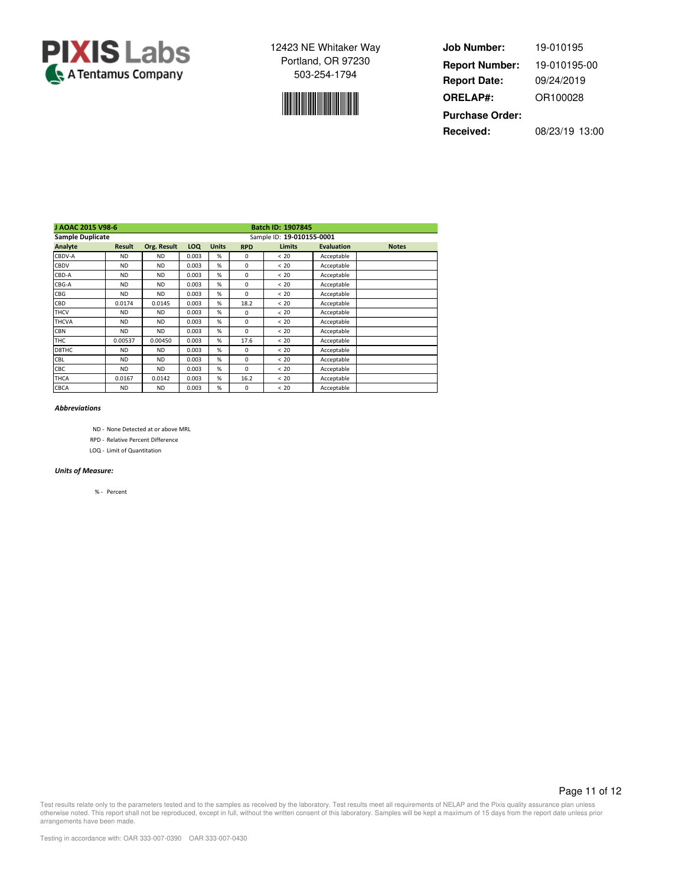



**Job Number: Report Date: ORELAP#:** 09/24/2019 OR100028 **Received:** 08/23/19 13:00 **Purchase Order:** 19-010195 **Report Number:** 19-010195-00

| J AOAC 2015 V98-6       |                           |             |            | <b>Batch ID: 1907845</b> |             |               |                   |              |  |  |
|-------------------------|---------------------------|-------------|------------|--------------------------|-------------|---------------|-------------------|--------------|--|--|
| <b>Sample Duplicate</b> | Sample ID: 19-010155-0001 |             |            |                          |             |               |                   |              |  |  |
| Analyte                 | <b>Result</b>             | Org. Result | <b>LOQ</b> | <b>Units</b>             | <b>RPD</b>  | <b>Limits</b> | <b>Evaluation</b> | <b>Notes</b> |  |  |
| CBDV-A                  | <b>ND</b>                 | <b>ND</b>   | 0.003      | %                        | $\Omega$    | < 20          | Acceptable        |              |  |  |
| CBDV                    | <b>ND</b>                 | <b>ND</b>   | 0.003      | %                        | $\Omega$    | < 20          | Acceptable        |              |  |  |
| CBD-A                   | <b>ND</b>                 | <b>ND</b>   | 0.003      | %                        | 0           | < 20          | Acceptable        |              |  |  |
| CBG-A                   | <b>ND</b>                 | <b>ND</b>   | 0.003      | %                        | $\Omega$    | < 20          | Acceptable        |              |  |  |
| CBG                     | <b>ND</b>                 | <b>ND</b>   | 0.003      | %                        | $\Omega$    | < 20          | Acceptable        |              |  |  |
| CBD                     | 0.0174                    | 0.0145      | 0.003      | %                        | 18.2        | < 20          | Acceptable        |              |  |  |
| THCV                    | <b>ND</b>                 | <b>ND</b>   | 0.003      | %                        | $\Omega$    | < 20          | Acceptable        |              |  |  |
| <b>THCVA</b>            | <b>ND</b>                 | <b>ND</b>   | 0.003      | %                        | $\Omega$    | < 20          | Acceptable        |              |  |  |
| CBN                     | <b>ND</b>                 | <b>ND</b>   | 0.003      | %                        | $\Omega$    | < 20          | Acceptable        |              |  |  |
| THC                     | 0.00537                   | 0.00450     | 0.003      | %                        | 17.6        | < 20          | Acceptable        |              |  |  |
| D8THC                   | <b>ND</b>                 | <b>ND</b>   | 0.003      | %                        | $\Omega$    | < 20          | Acceptable        |              |  |  |
| <b>CBL</b>              | <b>ND</b>                 | <b>ND</b>   | 0.003      | %                        | $\Omega$    | < 20          | Acceptable        |              |  |  |
| CBC                     | <b>ND</b>                 | <b>ND</b>   | 0.003      | %                        | $\Omega$    | < 20          | Acceptable        |              |  |  |
| THCA                    | 0.0167                    | 0.0142      | 0.003      | %                        | 16.2        | < 20          | Acceptable        |              |  |  |
| CBCA                    | <b>ND</b>                 | <b>ND</b>   | 0.003      | %                        | $\mathbf 0$ | < 20          | Acceptable        |              |  |  |

### *Abbreviations*

- ND None Detected at or above MRL
- RPD Relative Percent Difference
- LOQ Limit of Quantitation

### *Units of Measure:*

% - Percent

Page 11 of 12